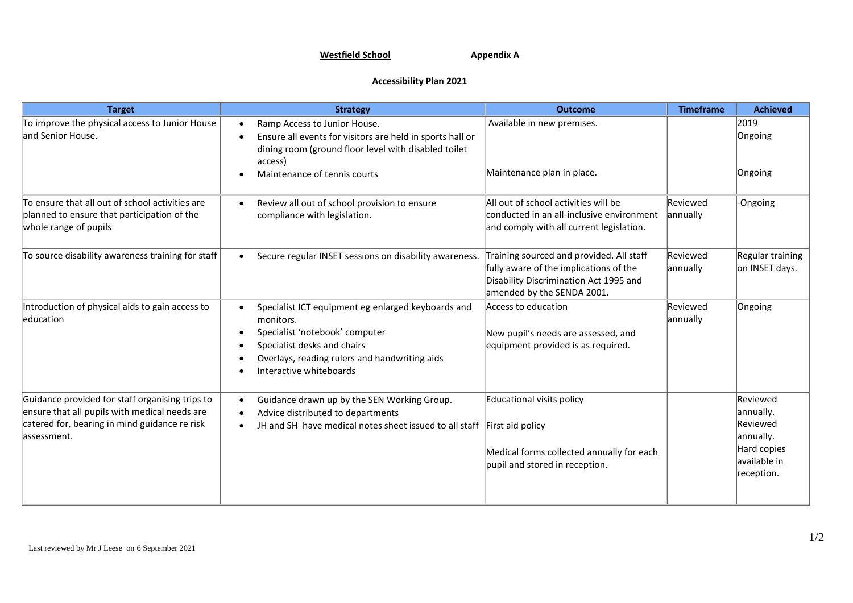## **Westfield School Appendix A**

## **Accessibility Plan 2021**

| <b>Target</b>                                                                                                                                                    | <b>Strategy</b>                                                                                                                                                                                                           | <b>Outcome</b>                                                                                                                                             | <b>Timeframe</b>     | <b>Achieved</b>                                                                             |
|------------------------------------------------------------------------------------------------------------------------------------------------------------------|---------------------------------------------------------------------------------------------------------------------------------------------------------------------------------------------------------------------------|------------------------------------------------------------------------------------------------------------------------------------------------------------|----------------------|---------------------------------------------------------------------------------------------|
| To improve the physical access to Junior House<br>and Senior House.                                                                                              | Ramp Access to Junior House.<br>Ensure all events for visitors are held in sports hall or<br>dining room (ground floor level with disabled toilet<br>access)<br>Maintenance of tennis courts                              | Available in new premises.<br>Maintenance plan in place.                                                                                                   |                      | 2019<br>Ongoing<br>Ongoing                                                                  |
| To ensure that all out of school activities are<br>planned to ensure that participation of the<br>whole range of pupils                                          | Review all out of school provision to ensure<br>compliance with legislation.                                                                                                                                              | All out of school activities will be<br>conducted in an all-inclusive environment<br>and comply with all current legislation.                              | Reviewed<br>annually | -Ongoing                                                                                    |
| To source disability awareness training for staff                                                                                                                | Secure regular INSET sessions on disability awareness.<br>$\bullet$                                                                                                                                                       | Training sourced and provided. All staff<br>fully aware of the implications of the<br>Disability Discrimination Act 1995 and<br>amended by the SENDA 2001. | Reviewed<br>annually | Regular training<br>on INSET days.                                                          |
| Introduction of physical aids to gain access to<br>education                                                                                                     | Specialist ICT equipment eg enlarged keyboards and<br>monitors.<br>Specialist 'notebook' computer<br>$\bullet$<br>Specialist desks and chairs<br>Overlays, reading rulers and handwriting aids<br>Interactive whiteboards | Access to education<br>New pupil's needs are assessed, and<br>equipment provided is as required.                                                           | Reviewed<br>annually | Ongoing                                                                                     |
| Guidance provided for staff organising trips to<br>ensure that all pupils with medical needs are<br>catered for, bearing in mind guidance re risk<br>assessment. | Guidance drawn up by the SEN Working Group.<br>$\bullet$<br>Advice distributed to departments<br>JH and SH have medical notes sheet issued to all staff                                                                   | Educational visits policy<br>First aid policy<br>Medical forms collected annually for each<br>pupil and stored in reception.                               |                      | Reviewed<br>annually.<br>Reviewed<br>annually.<br>Hard copies<br>available in<br>reception. |